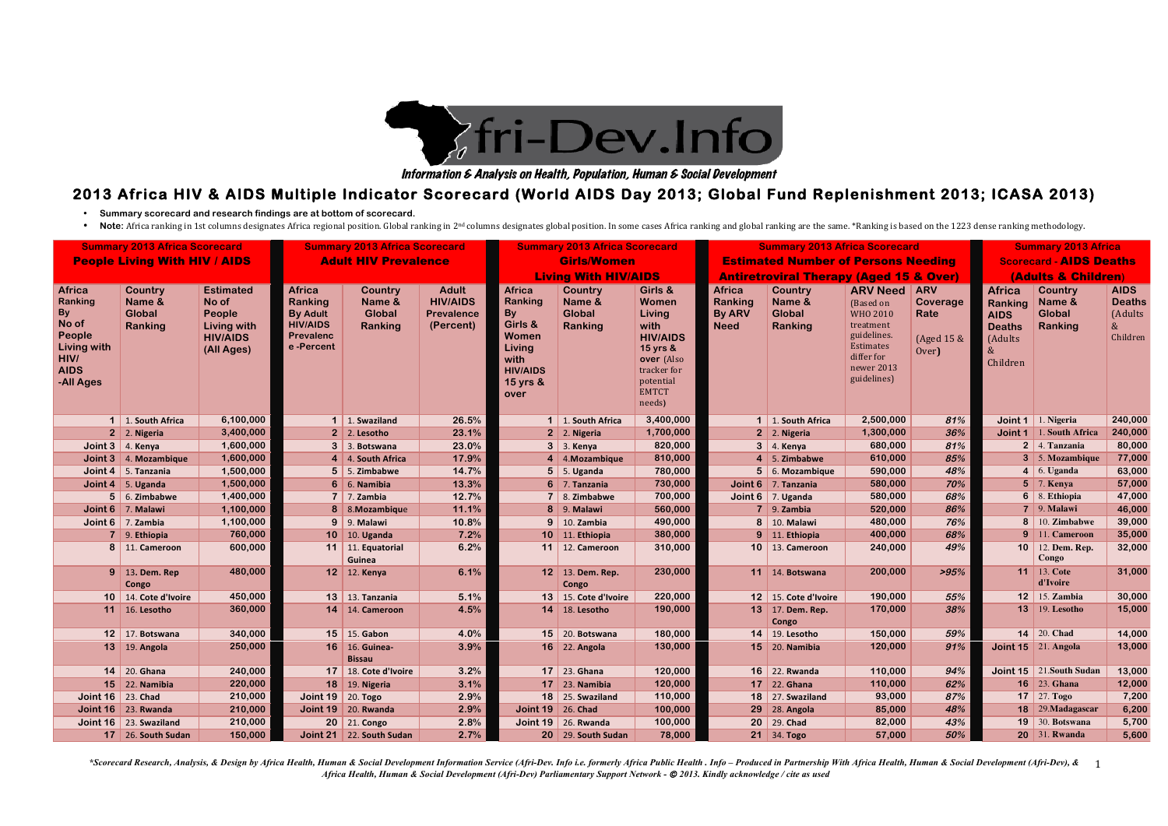\*Scorecard Research, Analysis, & Design by Africa Health, Human & Social Development Information Service (Afri-Dev. Info i.e. formerly Africa Public Health . Info - Produced in Partnership With Africa Health, Human & Socia *Africa Health, Human & Social Development (Afri-Dev) Parliamentary Support Network -* © *2013. Kindly acknowledge / cite as used*

- **Summary scorecard and research findings are at bottom of scorecard.**
- Note: Africa ranking in 1st columns designates Africa regional position. Global ranking in 2<sup>nd</sup> columns designates global position. In some cases Africa ranking and global ranking are the same. \*Ranking is based on the

# **2013 Africa HIV & AIDS Multiple Indicator Scorecard (World AIDS Day 2013; Global Fund Replenishment 2013; ICASA 2013)**

| <b>Summary 2013 Africa Scorecard</b><br><b>People Living With HIV / AIDS</b>                                       |                                                      |                                                                                            | <b>Summary 2013 Africa Scorecard</b><br><b>Adult HIV Prevalence</b>                                    |                                                      |                                                                   | <b>Summary 2013 Africa Scorecard</b><br><b>Girls/Women</b><br><b>Living With HIV/AIDS</b>                                 |                                                      |                                                                                                                                       | <b>Summary 2013 Africa Scorecard</b><br><b>Estimated Number of Persons Needing</b><br><b>Antiretroviral Therapy (Aged 15 &amp; Over)</b> |                                                      |                                                                                                                                            |                                                       | <b>Summary 2013 Africa</b><br><b>Scorecard - AIDS Deaths</b><br>(Adults & Children)     |                                                      |                                                             |
|--------------------------------------------------------------------------------------------------------------------|------------------------------------------------------|--------------------------------------------------------------------------------------------|--------------------------------------------------------------------------------------------------------|------------------------------------------------------|-------------------------------------------------------------------|---------------------------------------------------------------------------------------------------------------------------|------------------------------------------------------|---------------------------------------------------------------------------------------------------------------------------------------|------------------------------------------------------------------------------------------------------------------------------------------|------------------------------------------------------|--------------------------------------------------------------------------------------------------------------------------------------------|-------------------------------------------------------|-----------------------------------------------------------------------------------------|------------------------------------------------------|-------------------------------------------------------------|
| <b>Africa</b><br>Ranking<br><b>By</b><br>No of<br>People<br>Living with<br><b>HIV/</b><br><b>AIDS</b><br>-All Ages | <b>Country</b><br>Name &<br><b>Global</b><br>Ranking | <b>Estimated</b><br>No of<br>People<br><b>Living with</b><br><b>HIV/AIDS</b><br>(All Ages) | <b>Africa</b><br><b>Ranking</b><br><b>By Adult</b><br><b>HIV/AIDS</b><br><b>Prevalenc</b><br>e-Percent | <b>Country</b><br>Name &<br><b>Global</b><br>Ranking | <b>Adult</b><br><b>HIV/AIDS</b><br><b>Prevalence</b><br>(Percent) | <b>Africa</b><br>Ranking<br>By<br>Girls &<br><b>Women</b><br><b>Living</b><br>with<br><b>HIV/AIDS</b><br>15 yrs &<br>over | <b>Country</b><br>Name &<br><b>Global</b><br>Ranking | Girls &<br>Women<br>Living<br>with<br><b>HIV/AIDS</b><br>15 yrs &<br>over (Also<br>tracker for<br>potential<br><b>EMTCT</b><br>needs) | <b>Africa</b><br>Ranking<br><b>By ARV</b><br><b>Need</b>                                                                                 | <b>Country</b><br>Name &<br><b>Global</b><br>Ranking | <b>ARV Need</b><br>(Based on<br><b>WHO 2010</b><br>treatment<br>guidelines.<br><b>Estimates</b><br>differ for<br>newer 2013<br>guidelines) | <b>ARV</b><br>Coverage<br>Rate<br>(Aged 15 &<br>Over) | <b>Africa</b><br>Ranking<br><b>AIDS</b><br><b>Deaths</b><br>(Adults<br>$\&$<br>Children | <b>Country</b><br>Name &<br><b>Global</b><br>Ranking | <b>AIDS</b><br><b>Deaths</b><br>(Adults<br>$\&$<br>Children |
|                                                                                                                    | 1 1. South Africa                                    | 6,100,000                                                                                  |                                                                                                        | $1 \mid 1$ . Swaziland                               | 26.5%                                                             |                                                                                                                           | 1 1. South Africa                                    | 3,400,000                                                                                                                             |                                                                                                                                          | 1 1. South Africa                                    | 2,500,000                                                                                                                                  | 81%                                                   | Joint 1                                                                                 | 1. Nigeria                                           | 240,000                                                     |
|                                                                                                                    | $2 \mid 2$ . Nigeria                                 | 3,400,000                                                                                  |                                                                                                        | $2 \mid 2$ . Lesotho                                 | 23.1%                                                             |                                                                                                                           | $2 \mid 2$ . Nigeria                                 | 1,700,000                                                                                                                             |                                                                                                                                          | $2 \mid 2$ . Nigeria                                 | 1,300,000                                                                                                                                  | 36%                                                   |                                                                                         | Joint 1 1. South Africa                              | 240,000                                                     |
|                                                                                                                    | Joint $3 \mid 4$ . Kenya                             | 1,600,000                                                                                  |                                                                                                        | 3 3. Botswana                                        | 23.0%                                                             |                                                                                                                           | 3 3. Kenya                                           | 820,000                                                                                                                               |                                                                                                                                          | $3 \mid 4$ . Kenya                                   | 680,000                                                                                                                                    | 81%                                                   |                                                                                         | 2 4. Tanzania                                        | 80,000                                                      |
|                                                                                                                    | Joint $3 \mid 4$ . Mozambique                        | 1,600,000                                                                                  |                                                                                                        | 4 4. South Africa                                    | 17.9%                                                             |                                                                                                                           | 4 4.Mozambique                                       | 810,000                                                                                                                               |                                                                                                                                          | $4 \mid 5$ . Zimbabwe                                | 610,000                                                                                                                                    | 85%                                                   |                                                                                         | 3 5. Mozambique                                      | 77,000                                                      |
|                                                                                                                    | Joint 4   5. Tanzania                                | 1,500,000                                                                                  |                                                                                                        | $5 \mid 5$ . Zimbabwe                                | 14.7%                                                             |                                                                                                                           | $5$ 5. Uganda                                        | 780,000                                                                                                                               |                                                                                                                                          | 5 6. Mozambique                                      | 590,000                                                                                                                                    | 48%                                                   |                                                                                         | $4 \mid 6$ . Uganda                                  | 63,000                                                      |
|                                                                                                                    | Joint $4 \mid 5$ . Uganda                            | 1,500,000                                                                                  |                                                                                                        | $6 \mid 6$ . Namibia                                 | 13.3%                                                             |                                                                                                                           | $6$ 7. Tanzania                                      | 730,000                                                                                                                               |                                                                                                                                          | Joint 6 7. Tanzania                                  | 580,000                                                                                                                                    | 70%                                                   |                                                                                         | $5 \mid 7$ . Kenya                                   | 57,000                                                      |
|                                                                                                                    | $5 \mid 6$ . Zimbabwe                                | 1,400,000                                                                                  |                                                                                                        | $7 \mid 7$ . Zambia                                  | 12.7%                                                             |                                                                                                                           | $7 \mid 8$ . Zimbabwe                                | 700,000                                                                                                                               |                                                                                                                                          | Joint 6 7. Uganda                                    | 580,000                                                                                                                                    | 68%                                                   |                                                                                         | $6 \mid 8$ . Ethiopia                                | 47,000                                                      |
|                                                                                                                    | Joint 6 7. Malawi                                    | 1,100,000                                                                                  |                                                                                                        | 8 8. Mozambique                                      | 11.1%                                                             |                                                                                                                           | $8$ 9. Malawi                                        | 560,000                                                                                                                               |                                                                                                                                          | $7 \mid 9$ . Zambia                                  | 520,000                                                                                                                                    | 86%                                                   |                                                                                         | $7 \mid 9.$ Malawi                                   | 46,000                                                      |
|                                                                                                                    | Joint $6 \mid 7$ . Zambia                            | 1,100,000                                                                                  |                                                                                                        | $9 \mid 9.$ Malawi                                   | 10.8%                                                             |                                                                                                                           | $9 \mid 10$ . Zambia                                 | 490,000                                                                                                                               |                                                                                                                                          | 8 10. Malawi                                         | 480,000                                                                                                                                    | 76%                                                   |                                                                                         | 8 10. Zimbabwe                                       | 39,000                                                      |
|                                                                                                                    | $7 \mid 9$ . Ethiopia                                | 760,000                                                                                    |                                                                                                        | 10 $10.$ Uganda                                      | 7.2%                                                              |                                                                                                                           | 10 11. Ethiopia                                      | 380,000                                                                                                                               |                                                                                                                                          | $9 \mid 11$ . Ethiopia                               | 400,000                                                                                                                                    | 68%                                                   |                                                                                         | 9 11. Cameroon                                       | 35,000                                                      |
|                                                                                                                    | 8 11. Cameroon                                       | 600,000                                                                                    |                                                                                                        | 11 11. Equatorial<br>Guinea                          | 6.2%                                                              |                                                                                                                           | 11   12. Cameroon                                    | 310,000                                                                                                                               |                                                                                                                                          | 10   13. Cameroon                                    | 240,000                                                                                                                                    | 49%                                                   |                                                                                         | 10   12. Dem. Rep.<br>Congo                          | 32,000                                                      |
|                                                                                                                    | 9 13. Dem. Rep<br>Congo                              | 480,000                                                                                    |                                                                                                        | $12$ 12. Kenya                                       | 6.1%                                                              |                                                                                                                           | 12 13. Dem. Rep.<br>Congo                            | 230,000                                                                                                                               |                                                                                                                                          | 11 $\vert$ 14. Botswana                              | 200,000                                                                                                                                    | >95%                                                  |                                                                                         | <b>11</b> 13. Cote<br>d'Ivoire                       | 31,000                                                      |
|                                                                                                                    | 10 14. Cote d'Ivoire                                 | 450,000                                                                                    |                                                                                                        | $13$ 13. Tanzania                                    | 5.1%                                                              |                                                                                                                           | 13 15. Cote d'Ivoire                                 | 220,000                                                                                                                               |                                                                                                                                          | 12 15. Cote d'Ivoire                                 | 190,000                                                                                                                                    | 55%                                                   |                                                                                         | <b>12</b> 15. Zambia                                 | 30,000                                                      |
| 11                                                                                                                 | 16. Lesotho                                          | 360,000                                                                                    |                                                                                                        | $14$   14. Cameroon                                  | 4.5%                                                              |                                                                                                                           | 14 18. Lesotho                                       | 190,000                                                                                                                               |                                                                                                                                          | 13 17. Dem. Rep.<br>Congo                            | 170,000                                                                                                                                    | 38%                                                   |                                                                                         | <b>13</b> 19. Lesotho                                | 15,000                                                      |
|                                                                                                                    | 12   17. Botswana                                    | 340,000                                                                                    |                                                                                                        | $15$ 15. Gabon                                       | 4.0%                                                              |                                                                                                                           | $15$ 20. Botswana                                    | 180,000                                                                                                                               |                                                                                                                                          | 14   19. Lesotho                                     | 150,000                                                                                                                                    | 59%                                                   |                                                                                         | $14 \mid 20$ . Chad                                  | 14,000                                                      |
|                                                                                                                    | 13 19. Angola                                        | 250,000                                                                                    |                                                                                                        | 16 16. Guinea-<br><b>Bissau</b>                      | 3.9%                                                              |                                                                                                                           | 16 22. Angola                                        | 130,000                                                                                                                               |                                                                                                                                          | $15$ 20. Namibia                                     | 120,000                                                                                                                                    | 91%                                                   |                                                                                         | Joint $15 \mid 21$ . Angola                          | 13,000                                                      |
|                                                                                                                    | $14$ 20. Ghana                                       | 240,000                                                                                    |                                                                                                        | 17 18. Cote d'Ivoire                                 | 3.2%                                                              |                                                                                                                           | 17 23. Ghana                                         | 120,000                                                                                                                               |                                                                                                                                          | 16 22. Rwanda                                        | 110,000                                                                                                                                    | 94%                                                   |                                                                                         | Joint 15 $\vert$ 21. South Sudan                     | 13,000                                                      |
|                                                                                                                    | $15$ 22. Namibia                                     | 220,000                                                                                    |                                                                                                        | <b>18</b> 19. Nigeria                                | 3.1%                                                              |                                                                                                                           | $17$ 23. Namibia                                     | 120,000                                                                                                                               |                                                                                                                                          | $17$ 22. Ghana                                       | 110,000                                                                                                                                    | 62%                                                   |                                                                                         | $16$ 23. Ghana                                       | 12,000                                                      |
| Joint $16 \mid 23$ . Chad                                                                                          |                                                      | 210,000                                                                                    | Joint $19 \mid 20$ . Togo                                                                              |                                                      | 2.9%                                                              |                                                                                                                           | 18 25. Swaziland                                     | 110,000                                                                                                                               |                                                                                                                                          | 18 27. Swaziland                                     | 93,000                                                                                                                                     | 87%                                                   |                                                                                         | <b>17</b> 27. Togo                                   | 7,200                                                       |
|                                                                                                                    | Joint $16 \mid 23$ . Rwanda                          | 210,000                                                                                    |                                                                                                        | Joint 19 20. Rwanda                                  | 2.9%                                                              | Joint $19 \mid 26$ . Chad                                                                                                 |                                                      | 100,000                                                                                                                               |                                                                                                                                          | 29 28. Angola                                        | 85,000                                                                                                                                     | 48%                                                   |                                                                                         | $18$ 29. Madagascar                                  | 6,200                                                       |
|                                                                                                                    | Joint $16 \mid 23$ . Swaziland                       | 210,000                                                                                    |                                                                                                        | 20 21. Congo                                         | 2.8%                                                              |                                                                                                                           | Joint 19 $\vert$ 26. Rwanda                          | 100,000                                                                                                                               |                                                                                                                                          | 20 29. Chad                                          | 82,000                                                                                                                                     | 43%                                                   |                                                                                         | <b>19</b> 30. Botswana                               | 5,700                                                       |
|                                                                                                                    | 17 26. South Sudan                                   | 150,000                                                                                    |                                                                                                        | Joint 21 $\vert$ 22. South Sudan                     | 2.7%                                                              |                                                                                                                           | 20 29. South Sudan                                   | 78,000                                                                                                                                |                                                                                                                                          | $21 \,   \, 34.$ Togo                                | 57,000                                                                                                                                     | 50%                                                   |                                                                                         | <b>20</b> 31. Rwanda                                 | 5,600                                                       |



Information & Analysis on Health, Population, Human & Social Development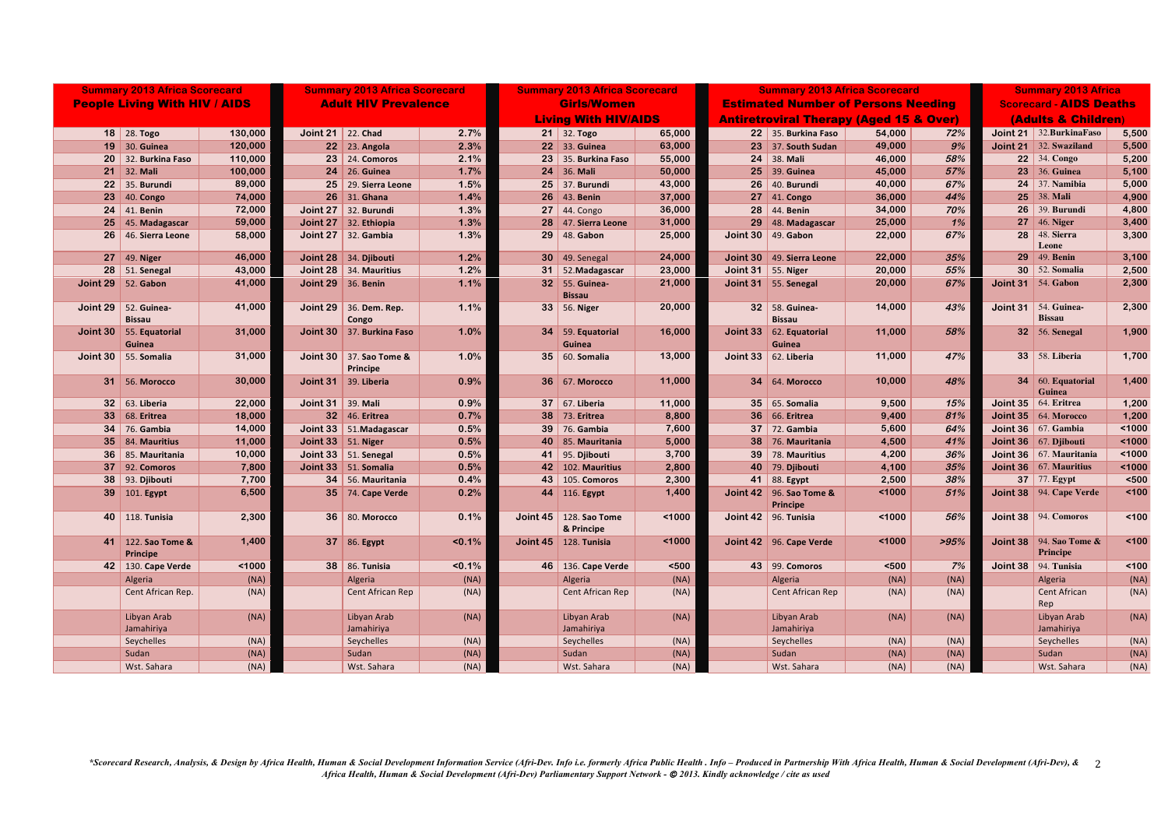\*Scorecard Research, Analysis, & Design by Africa Health, Human & Social Development Information Service (Afri-Dev. Info i.e. formerly Africa Public Health . Info - Produced in Partnership With Africa Health, Human & Socia *Africa Health, Human & Social Development (Afri-Dev) Parliamentary Support Network -* © *2013. Kindly acknowledge / cite as used*

| <b>Summary 2013 Africa Scorecard</b> |                                     |         | <b>Summary 2013 Africa Scorecard</b> |                                       | <b>Summary 2013 Africa Scorecard</b> |                             | <b>Summary 2013 Africa Scorecard</b>   |        |                                                    |                                                    | <b>Summary 2013 Africa</b> |      |                                |                                            |       |
|--------------------------------------|-------------------------------------|---------|--------------------------------------|---------------------------------------|--------------------------------------|-----------------------------|----------------------------------------|--------|----------------------------------------------------|----------------------------------------------------|----------------------------|------|--------------------------------|--------------------------------------------|-------|
| <b>People Living With HIV / AIDS</b> |                                     |         | <b>Adult HIV Prevalence</b>          |                                       |                                      | <b>Girls/Women</b>          |                                        |        | <b>Estimated Number of Persons Needing</b>         |                                                    |                            |      | <b>Scorecard - AIDS Deaths</b> |                                            |       |
|                                      |                                     |         |                                      |                                       |                                      | <b>Living With HIV/AIDS</b> |                                        |        | <b>Antiretroviral Therapy (Aged 15 &amp; Over)</b> |                                                    |                            |      | (Adults & Children)            |                                            |       |
|                                      | 18   28. Togo                       | 130,000 | Joint 21 $\vert$ 22. Chad            |                                       | 2.7%                                 |                             | $21 \,   \, 32. \, \text{Togo}$        | 65,000 |                                                    | 22 35. Burkina Faso                                | 54,000                     | 72%  |                                | <b>Joint 21</b> 32. Burkina Faso           | 5,500 |
|                                      | 19 30. Guinea                       | 120,000 |                                      | 22 23. Angola                         | 2.3%                                 |                             | 22 33. Guinea                          | 63,000 |                                                    | $23$ 37. South Sudan                               | 49,000                     | 9%   |                                | Joint 21 32. Swaziland                     | 5,500 |
|                                      | 20 32. Burkina Faso                 | 110,000 |                                      | $23$ 24. Comoros                      | 2.1%                                 |                             | 23 35. Burkina Faso                    | 55,000 |                                                    | $24$ 38. Mali                                      | 46,000                     | 58%  |                                | 22 $\vert$ 34. Congo                       | 5,200 |
|                                      | $21 \mid 32$ . Mali                 | 100,000 |                                      | $24$ 26. Guinea                       | 1.7%                                 |                             | 24 36. Mali                            | 50,000 |                                                    | 25 39. Guinea                                      | 45,000                     | 57%  |                                | <b>23</b> 36. Guinea                       | 5,100 |
|                                      | 22 35. Burundi                      | 89,000  |                                      | 25 29. Sierra Leone                   | 1.5%                                 |                             | 25 37. Burundi                         | 43,000 |                                                    | 26 40. Burundi                                     | 40,000                     | 67%  |                                | $24$ 37. Namibia                           | 5,000 |
| 23                                   | $ 40.$ Congo                        | 74,000  |                                      | $26$ 31. Ghana                        | 1.4%                                 |                             | <b>26</b> 43. Benin                    | 37,000 |                                                    | $27 \mid 41$ . Congo                               | 36,000                     | 44%  |                                | $25 \,   \, 38. \,$ Mali                   | 4,900 |
|                                      | $24 \mid 41$ . Benin                | 72,000  |                                      | Joint 27 32. Burundi                  | 1.3%                                 |                             | $27 \mid 44$ . Congo                   | 36,000 |                                                    | 28 44. Benin                                       | 34,000                     | 70%  |                                | $26$ 39. Burundi                           | 4,800 |
|                                      | 25 45. Madagascar                   | 59,000  |                                      | Joint 27 $\vert$ 32. Ethiopia         | 1.3%                                 |                             | 47. Sierra Leone                       | 31,000 |                                                    | 29 48. Madagascar                                  | 25,000                     | 1%   |                                | 27 $ 46.$ Niger                            | 3,400 |
|                                      | 26 46. Sierra Leone                 | 58,000  |                                      | Joint $27 \mid 32$ . Gambia           | 1.3%                                 |                             | 29 48. Gabon                           | 25,000 |                                                    | Joint 30   49. Gabon                               | 22,000                     | 67%  |                                | <b>28</b> 48. Sierra<br>Leone              | 3,300 |
|                                      | 27 $ $ 49. Niger                    | 46,000  |                                      | Joint 28 $\vert$ 34. Djibouti         | 1.2%                                 |                             | $30 \mid 49$ . Senegal                 | 24,000 |                                                    | Joint 30   49. Sierra Leone                        | 22,000                     | 35%  |                                | <b>29</b> 49. Benin                        | 3,100 |
|                                      | $28$   51. Senegal                  | 43,000  |                                      | Joint 28 $\vert$ 34. Mauritius        | 1.2%                                 |                             | 31 52. Madagascar                      | 23,000 |                                                    | Joint 31 55. Niger                                 | 20,000                     | 55%  |                                | $30 \mid 52$ . Somalia                     | 2,500 |
|                                      | Joint 29 52. Gabon                  | 41,000  |                                      | Joint 29 $\vert$ 36. Benin            | 1.1%                                 |                             | 32 55. Guinea-<br><b>Bissau</b>        | 21,000 |                                                    | Joint 31 55. Senegal                               | 20,000                     | 67%  |                                | Joint 31 $\vert$ 54. Gabon                 | 2,300 |
|                                      | Joint 29 $\vert$ 52. Guinea-        | 41,000  |                                      | Joint 29 $\vert$ 36. Dem. Rep.        | 1.1%                                 |                             | 33 56. Niger                           | 20,000 |                                                    | 32 58. Guinea-                                     | 14,000                     | 43%  |                                | Joint 31 $\vert$ 54. Guinea-               | 2,300 |
|                                      | <b>Bissau</b>                       |         |                                      | Congo                                 |                                      |                             |                                        |        |                                                    | <b>Bissau</b>                                      |                            |      |                                | <b>Bissau</b>                              |       |
|                                      | Joint 30   55. Equatorial<br>Guinea | 31,000  |                                      | Joint 30 37. Burkina Faso             | 1.0%                                 |                             | 34 59. Equatorial<br>Guinea            | 16,000 |                                                    | Joint 33 $\vert$ 62. Equatorial<br>Guinea          | 11,000                     | 58%  |                                | $32 \mid 56$ . Senegal                     | 1,900 |
|                                      | Joint 30 $\vert$ 55. Somalia        | 31,000  |                                      | Joint 30   37. Sao Tome &<br>Principe | 1.0%                                 |                             | 35 60. Somalia                         | 13,000 |                                                    | Joint 33 $\vert$ 62. Liberia                       | 11,000                     | 47%  |                                | <b>33</b> 58. Liberia                      | 1,700 |
|                                      | <b>31 56. Morocco</b>               | 30,000  |                                      | Joint 31 39. Liberia                  | 0.9%                                 |                             | <b>36 67. Morocco</b>                  | 11,000 |                                                    | <b>34</b> 64. Morocco                              | 10,000                     | 48%  |                                | 34 60. Equatorial<br>Guinea                | 1,400 |
|                                      | 32 63. Liberia                      | 22,000  | Joint $31 \mid 39$ . Mali            |                                       | 0.9%                                 |                             | 37 67. Liberia                         | 11,000 |                                                    | 35 65. Somalia                                     | 9,500                      | 15%  |                                | Joint 35 64. Eritrea                       | 1,200 |
|                                      | 33 68. Eritrea                      | 18,000  |                                      | $32 \mid 46$ . Eritrea                | 0.7%                                 | 38                          | $ 73.$ Eritrea                         | 8,800  |                                                    | <b>36</b> 66. Eritrea                              | 9,400                      | 81%  |                                | <b>Joint 35</b> $\vert$ 64. Morocco        | 1,200 |
|                                      | <b>34</b> 76. Gambia                | 14,000  |                                      | Joint 33   51. Madagascar             | 0.5%                                 | 39                          | 76. Gambia                             | 7,600  |                                                    | $37$ 72. Gambia                                    | 5,600                      | 64%  |                                | Joint 36 $\vert$ 67. Gambia                | 1000  |
|                                      | 35 84. Mauritius                    | 11,000  |                                      | Joint 33 $\vert$ 51. Niger            | 0.5%                                 | 40                          | 85. Mauritania                         | 5,000  |                                                    | 38 76. Mauritania                                  | 4,500                      | 41%  |                                | Joint 36 67. Djibouti                      | 1000  |
|                                      | 36 85. Mauritania                   | 10,000  |                                      | Joint 33   51. Senegal                | 0.5%                                 |                             | 41 95. Djibouti                        | 3,700  |                                                    | 39 78. Mauritius                                   | 4,200                      | 36%  |                                | Joint 36   $67.$ Mauritania                | 1000  |
|                                      | $37$ 92. Comoros                    | 7,800   |                                      | Joint 33 51. Somalia                  | 0.5%                                 |                             | 42 102. Mauritius                      | 2,800  |                                                    | 40 79. Djibouti                                    | 4,100                      | 35%  |                                | Joint 36   $67.$ Mauritius                 | 1000  |
|                                      | $38$ 93. Djibouti                   | 7,700   |                                      | 34 56. Mauritania                     | 0.4%                                 |                             | 43 105. Comoros                        | 2,300  |                                                    | 41 88. Egypt                                       | 2,500                      | 38%  |                                | <b>37</b> 77. Egypt                        | $500$ |
|                                      | 39 101. Egypt                       | 6,500   |                                      | <b>35</b> 74. Cape Verde              | 0.2%                                 |                             | $\left  \right $ 44   116. Egypt       | 1,400  |                                                    | Joint $42 \mid 96$ . Sao Tome &<br><b>Principe</b> | 1000                       | 51%  |                                | <b>Joint 38</b> 94. Cape Verde             | 100   |
|                                      | 40 118. Tunisia                     | 2,300   |                                      | 36 80. Morocco                        | 0.1%                                 |                             | Joint 45   128. Sao Tome<br>& Principe | 1000   |                                                    | Joint 42 96. Tunisia                               | 1000                       | 56%  |                                | <b>Joint 38</b> 94. Comoros                | 100   |
|                                      | 41 122. Sao Tome &<br>Principe      | 1,400   |                                      | 37 86. Egypt                          | $< 0.1\%$                            |                             | Joint 45 128. Tunisia                  | 1000   |                                                    | Joint 42 $\,$ 96. Cape Verde                       | 1000                       | >95% |                                | <b>Joint 38</b> 94. Sao Tome &<br>Principe | < 100 |
|                                      | 42 130. Cape Verde                  | < 1000  |                                      | 38 86. Tunisia                        | $< 0.1\%$                            |                             | 46 136. Cape Verde                     | $500$  |                                                    | 43   99. Comoros                                   | $500$                      | 7%   |                                | Joint 38 94. Tunisia                       | < 100 |
|                                      | Algeria                             | (NA)    |                                      | Algeria                               | (NA)                                 |                             | Algeria                                | (NA)   |                                                    | Algeria                                            | (NA)                       | (NA) |                                | Algeria                                    | (NA)  |
|                                      | Cent African Rep.                   | (NA)    |                                      | Cent African Rep                      | (NA)                                 |                             | Cent African Rep                       | (NA)   |                                                    | Cent African Rep                                   | (NA)                       | (NA) |                                | Cent African<br>Rep                        | (NA)  |
|                                      | Libyan Arab<br>Jamahiriya           | (NA)    |                                      | Libyan Arab<br>Jamahiriya             | (NA)                                 |                             | Libyan Arab<br>Jamahiriya              | (NA)   |                                                    | Libyan Arab<br>Jamahiriya                          | (NA)                       | (NA) |                                | Libyan Arab<br>Jamahiriya                  | (NA)  |
|                                      | Seychelles                          | (NA)    |                                      | Seychelles                            | (NA)                                 |                             | Seychelles                             | (NA)   |                                                    | Seychelles                                         | (NA)                       | (NA) |                                | Seychelles                                 | (NA)  |
|                                      | Sudan                               | (NA)    |                                      | Sudan                                 | (NA)                                 |                             | Sudan                                  | (NA)   |                                                    | Sudan                                              | (NA)                       | (NA) |                                | Sudan                                      | (NA)  |
|                                      | Wst. Sahara                         | (NA)    |                                      | Wst. Sahara                           | (NA)                                 |                             | Wst. Sahara                            | (NA)   |                                                    | Wst. Sahara                                        | (NA)                       | (NA) |                                | Wst. Sahara                                | (NA)  |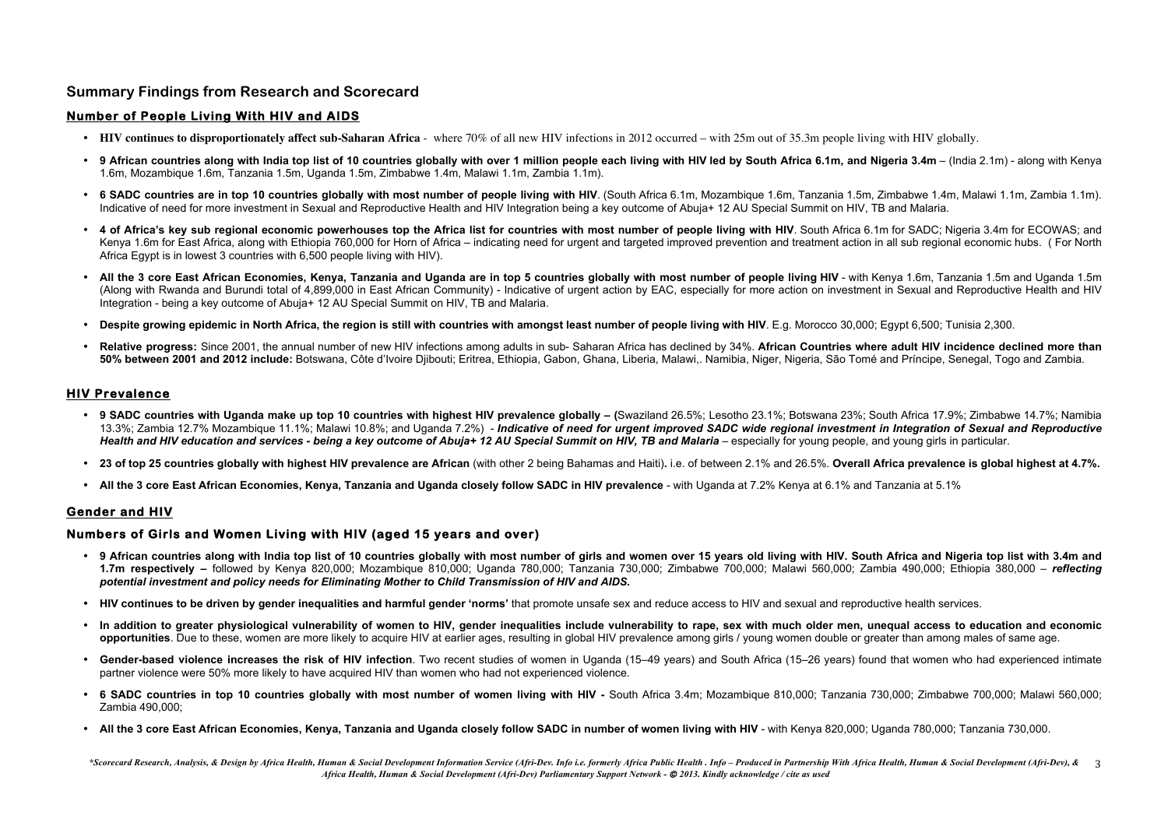\*Scorecard Research, Analysis, & Design by Africa Health, Human & Social Development Information Service (Afri-Dev. Info i.e. formerly Africa Public Health . Info - Produced in Partnership With Africa Health, Human & Socia *Africa Health, Human & Social Development (Afri-Dev) Parliamentary Support Network -* © *2013. Kindly acknowledge / cite as used*

# **Summary Findings from Research and Scorecard**

### **Number of People Living With HIV and AIDS**

- **HIV continues to disproportionately affect sub-Saharan Africa** where 70% of all new HIV infections in 2012 occurred with 25m out of 35.3m people living with HIV globally.
- 9 African countries along with India top list of 10 countries globally with over 1 million people each living with HIV led by South Africa 6.1m, and Nigeria 3.4m (India 2.1m) along with Kenya 1.6m, Mozambique 1.6m, Tanzania 1.5m, Uganda 1.5m, Zimbabwe 1.4m, Malawi 1.1m, Zambia 1.1m).
- **6 SADC countries are in top 10 countries globally with most number of people living with HIV**. (South Africa 6.1m, Mozambique 1.6m, Tanzania 1.5m, Zimbabwe 1.4m, Malawi 1.1m, Zambia 1.1m). Indicative of need for more investment in Sexual and Reproductive Health and HIV Integration being a key outcome of Abuja+ 12 AU Special Summit on HIV, TB and Malaria.
- **4 of Africa's key sub regional economic powerhouses top the Africa list for countries with most number of people living with HIV**. South Africa 6.1m for SADC; Nigeria 3.4m for ECOWAS; and Kenya 1.6m for East Africa, along with Ethiopia 760,000 for Horn of Africa – indicating need for urgent and targeted improved prevention and treatment action in all sub regional economic hubs. ( For North Africa Egypt is in lowest 3 countries with 6,500 people living with HIV).
- **All the 3 core East African Economies, Kenya, Tanzania and Uganda are in top 5 countries globally with most number of people living HIV** with Kenya 1.6m, Tanzania 1.5m and Uganda 1.5m (Along with Rwanda and Burundi total of 4,899,000 in East African Community) - Indicative of urgent action by EAC, especially for more action on investment in Sexual and Reproductive Health and HIV Integration - being a key outcome of Abuja+ 12 AU Special Summit on HIV, TB and Malaria.
- **Despite growing epidemic in North Africa, the region is still with countries with amongst least number of people living with HIV**. E.g. Morocco 30,000; Egypt 6,500; Tunisia 2,300.
- **Relative progress:** Since 2001, the annual number of new HIV infections among adults in sub- Saharan Africa has declined by 34%. **African Countries where adult HIV incidence declined more than 50% between 2001 and 2012 include:** Botswana, Côte d'Ivoire Djibouti; Eritrea, Ethiopia, Gabon, Ghana, Liberia, Malawi,. Namibia, Niger, Nigeria, São Tomé and Príncipe, Senegal, Togo and Zambia.

- **9 African countries along with India top list of 10 countries globally with most number of girls and women over 15 years old living with HIV. South Africa and Nigeria top list with 3.4m and 1.7m respectively –** followed by Kenya 820,000; Mozambique 810,000; Uganda 780,000; Tanzania 730,000; Zimbabwe 700,000; Malawi 560,000; Zambia 490,000; Ethiopia 380,000 – *reflecting potential investment and policy needs for Eliminating Mother to Child Transmission of HIV and AIDS.*
- **HIV continues to be driven by gender inequalities and harmful gender 'norms'** that promote unsafe sex and reduce access to HIV and sexual and reproductive health services.
- **In addition to greater physiological vulnerability of women to HIV, gender inequalities include vulnerability to rape, sex with much older men, unequal access to education and economic opportunities**. Due to these, women are more likely to acquire HIV at earlier ages, resulting in global HIV prevalence among girls / young women double or greater than among males of same age.
- **Gender-based violence increases the risk of HIV infection**. Two recent studies of women in Uganda (15–49 years) and South Africa (15–26 years) found that women who had experienced intimate partner violence were 50% more likely to have acquired HIV than women who had not experienced violence.
- **6 SADC countries in top 10 countries globally with most number of women living with HIV -** South Africa 3.4m; Mozambique 810,000; Tanzania 730,000; Zimbabwe 700,000; Malawi 560,000; Zambia 490,000;
- All the 3 core East African Economies, Kenya, Tanzania and Uganda closely follow SADC in number of women living with HIV with Kenya 820,000; Uganda 780,000; Tanzania 730,000;

### **HIV Prevalence**

- **9 SADC countries with Uganda make up top 10 countries with highest HIV prevalence globally – (**Swaziland 26.5%; Lesotho 23.1%; Botswana 23%; South Africa 17.9%; Zimbabwe 14.7%; Namibia 13.3%; Zambia 12.7% Mozambique 11.1%; Malawi 10.8%; and Uganda 7.2%) - *Indicative of need for urgent improved SADC wide regional investment in Integration of Sexual and Reproductive Health and HIV education and services - being a key outcome of Abuja+ 12 AU Special Summit on HIV, TB and Malaria – especially for young people, and young girls in particular.*
- 23 of top 25 countries globally with highest HIV prevalence are African (with other 2 being Bahamas and Haiti). i.e. of between 2.1% and 26.5%. Overall Africa prevalence is global highest at 4.7%.
- **All the 3 core East African Economies, Kenya, Tanzania and Uganda closely follow SADC in HIV prevalence**  with Uganda at 7.2% Kenya at 6.1% and Tanzania at 5.1%

### **Gender and HIV**

### **Numbers of Girls and Women Living with HIV (aged 15 years and over)**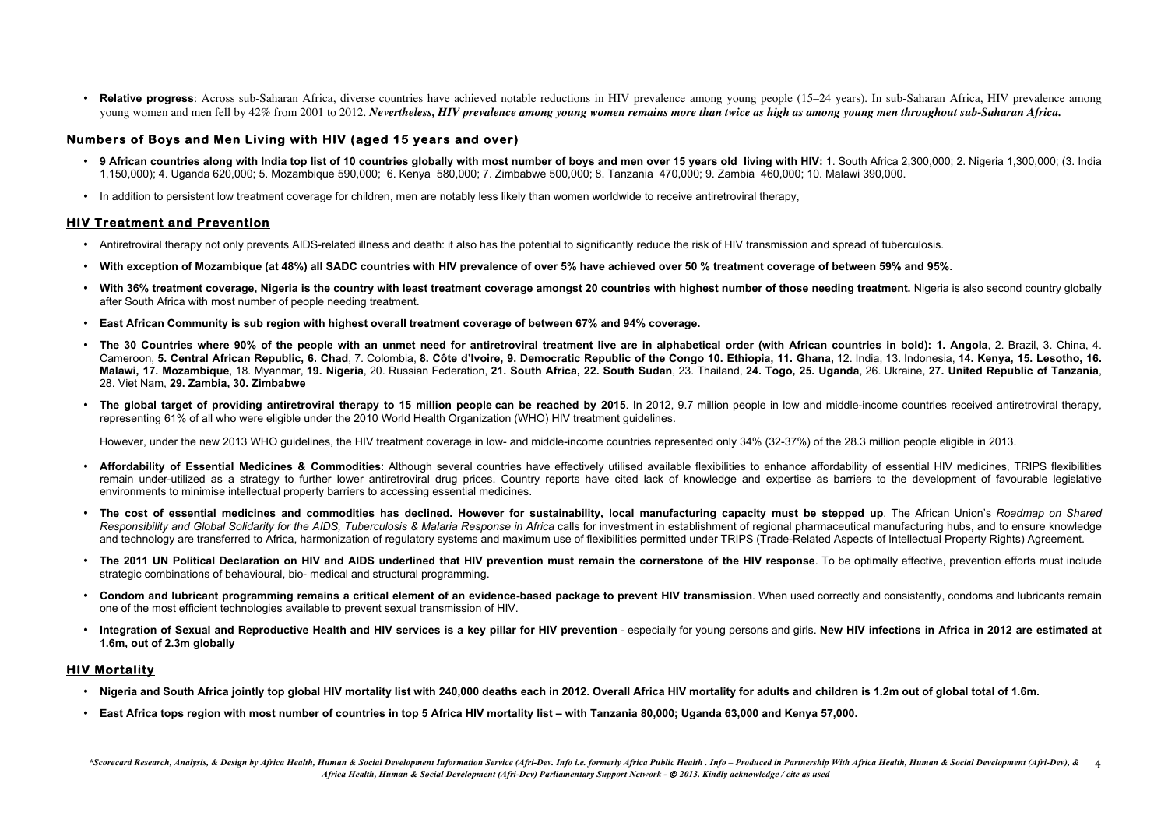• **Relative progress**: Across sub-Saharan Africa, diverse countries have achieved notable reductions in HIV prevalence among young people (15–24 years). In sub-Saharan Africa, HIV prevalence among young women and men fell by 42% from 2001 to 2012. *Nevertheless, HIV prevalence among young women remains more than twice as high as among young men throughout sub-Saharan Africa.*

- 9 African countries along with India top list of 10 countries globally with most number of boys and men over 15 years old living with HIV: 1. South Africa 2,300,000; 2. Nigeria 1,300,000; (3. India 1,150,000); 4. Uganda 620,000; 5. Mozambique 590,000; 6. Kenya 580,000; 7. Zimbabwe 500,000; 8. Tanzania 470,000; 9. Zambia 460,000; 10. Malawi 390,000.
- In addition to persistent low treatment coverage for children, men are notably less likely than women worldwide to receive antiretroviral therapy,

#### **Numbers of Boys and Men Living with HIV (aged 15 years and over)**

#### **HIV Treatment and Prevention**

- Antiretroviral therapy not only prevents AIDS-related illness and death: it also has the potential to significantly reduce the risk of HIV transmission and spread of tuberculosis.
- **With exception of Mozambique (at 48%) all SADC countries with HIV prevalence of over 5% have achieved over 50 % treatment coverage of between 59% and 95%.**
- **With 36% treatment coverage, Nigeria is the country with least treatment coverage amongst 20 countries with highest number of those needing treatment.** Nigeria is also second country globally after South Africa with most number of people needing treatment.
- **East African Community is sub region with highest overall treatment coverage of between 67% and 94% coverage.**
- **The 30 Countries where 90% of the people with an unmet need for antiretroviral treatment live are in alphabetical order (with African countries in bold): 1. Angola**, 2. Brazil, 3. China, 4. Cameroon, **5. Central African Republic, 6. Chad**, 7. Colombia, **8. Côte d'Ivoire, 9. Democratic Republic of the Congo 10. Ethiopia, 11. Ghana,** 12. India, 13. Indonesia, **14. Kenya, 15. Lesotho, 16.**  Malawi, 17. Mozambique, 18. Myanmar, 19. Nigeria, 20. Russian Federation, 21. South Africa, 22. South Sudan, 23. Thailand, 24. Togo, 25. Uganda, 26. Ukraine, 27. United Republic of Tanzania. 28. Viet Nam, **29. Zambia, 30. Zimbabwe**
- **The global target of providing antiretroviral therapy to 15 million people can be reached by 2015**. In 2012, 9.7 million people in low and middle-income countries received antiretroviral therapy, representing 61% of all who were eligible under the 2010 World Health Organization (WHO) HIV treatment guidelines.

However, under the new 2013 WHO guidelines, the HIV treatment coverage in low- and middle-income countries represented only 34% (32-37%) of the 28.3 million people eligible in 2013.

- **Affordability of Essential Medicines & Commodities**: Although several countries have effectively utilised available flexibilities to enhance affordability of essential HIV medicines, TRIPS flexibilities remain under-utilized as a strategy to further lower antiretroviral drug prices. Country reports have cited lack of knowledge and expertise as barriers to the development of favourable legislative environments to minimise intellectual property barriers to accessing essential medicines.
- **The cost of essential medicines and commodities has declined. However for sustainability, local manufacturing capacity must be stepped up**. The African Union's *Roadmap on Shared Responsibility and Global Solidarity for the AIDS, Tuberculosis & Malaria Response in Africa* calls for investment in establishment of regional pharmaceutical manufacturing hubs, and to ensure knowledge and technology are transferred to Africa, harmonization of regulatory systems and maximum use of flexibilities permitted under TRIPS (Trade-Related Aspects of Intellectual Property Rights) Agreement.
- **The 2011 UN Political Declaration on HIV and AIDS underlined that HIV prevention must remain the cornerstone of the HIV response**. To be optimally effective, prevention efforts must include strategic combinations of behavioural, bio- medical and structural programming.
- **Condom and lubricant programming remains a critical element of an evidence-based package to prevent HIV transmission**. When used correctly and consistently, condoms and lubricants remain one of the most efficient technologies available to prevent sexual transmission of HIV.
- **Integration of Sexual and Reproductive Health and HIV services is a key pillar for HIV prevention** especially for young persons and girls. **New HIV infections in Africa in 2012 are estimated at 1.6m, out of 2.3m globally**

### **HIV Mortality**

- **Nigeria and South Africa jointly top global HIV mortality list with 240,000 deaths each in 2012. Overall Africa HIV mortality for adults and children is 1.2m out of global total of 1.6m.**
- **East Africa tops region with most number of countries in top 5 Africa HIV mortality list – with Tanzania 80,000; Uganda 63,000 and Kenya 57,000.**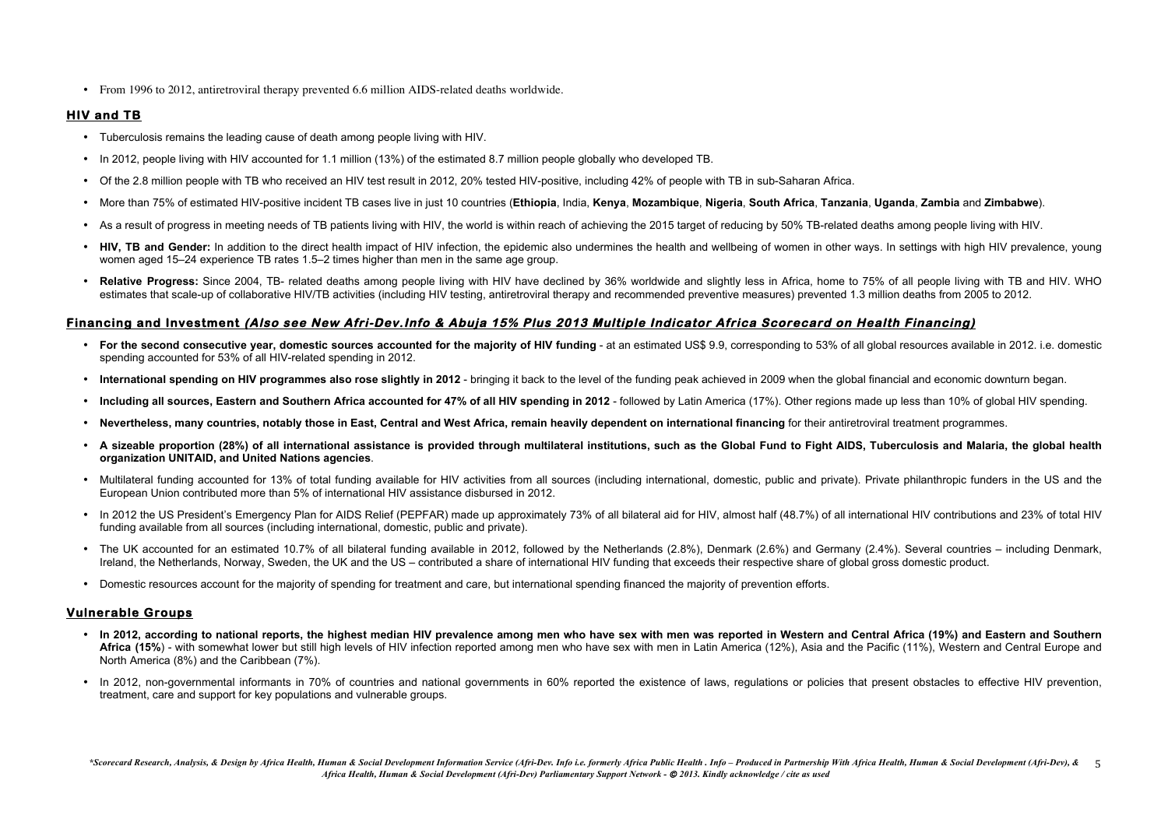- Tuberculosis remains the leading cause of death among people living with HIV.
- In 2012, people living with HIV accounted for 1.1 million (13%) of the estimated 8.7 million people globally who developed TB.
- Of the 2.8 million people with TB who received an HIV test result in 2012, 20% tested HIV-positive, including 42% of people with TB in sub-Saharan Africa.
- More than 75% of estimated HIV-positive incident TB cases live in just 10 countries (Ethiopia, India, Kenya, Mozambique, Nigeria, South Africa, Tanzania, Uganda, Zambia and Zimbabwe).
- As a result of progress in meeting needs of TB patients living with HIV, the world is within reach of achieving the 2015 target of reducing by 50% TB-related deaths among people living with HIV.
- HIV, TB and Gender: In addition to the direct health impact of HIV infection, the epidemic also undermines the health and wellbeing of women in other ways. In settings with high HIV prevalence, young women aged 15–24 experience TB rates 1.5–2 times higher than men in the same age group.
- Relative Progress: Since 2004, TB- related deaths among people living with HIV have declined by 36% worldwide and slightly less in Africa, home to 75% of all people living with TB and HIV. WHO estimates that scale-up of collaborative HIV/TB activities (including HIV testing, antiretroviral therapy and recommended preventive measures) prevented 1.3 million deaths from 2005 to 2012.

• From 1996 to 2012, antiretroviral therapy prevented 6.6 million AIDS-related deaths worldwide.

### **HIV and TB**

# **Financing and Investment (Also see New Afri-Dev.Info & Abuja 15% Plus 2013 Multiple Indicator Africa Scorecard on Health Financing)**

- For the second consecutive year, domestic sources accounted for the majority of HIV funding at an estimated US\$ 9.9, corresponding to 53% of all global resources available in 2012. i.e. domestic spending accounted for 53% of all HIV-related spending in 2012.
- International spending on HIV programmes also rose slightly in 2012 bringing it back to the level of the funding peak achieved in 2009 when the global financial and economic downturn began.
- **Including all sources, Eastern and Southern Africa accounted for 47% of all HIV spending in 2012** followed by Latin America (17%). Other regions made up less than 10% of global HIV spending.
- **Nevertheless, many countries, notably those in East, Central and West Africa, remain heavily dependent on international financing** for their antiretroviral treatment programmes.
- **A sizeable proportion (28%) of all international assistance is provided through multilateral institutions, such as the Global Fund to Fight AIDS, Tuberculosis and Malaria, the global health organization UNITAID, and United Nations agencies**.
- Multilateral funding accounted for 13% of total funding available for HIV activities from all sources (including international, domestic, public and private). Private philanthropic funders in the US and the European Union contributed more than 5% of international HIV assistance disbursed in 2012.
- In 2012 the US President's Emergency Plan for AIDS Relief (PEPFAR) made up approximately 73% of all bilateral aid for HIV, almost half (48.7%) of all international HIV contributions and 23% of total HIV funding available from all sources (including international, domestic, public and private).
- The UK accounted for an estimated 10.7% of all bilateral funding available in 2012, followed by the Netherlands (2.8%), Denmark (2.6%) and Germany (2.4%). Several countries including Denmark, Ireland, the Netherlands, Norway, Sweden, the UK and the US – contributed a share of international HIV funding that exceeds their respective share of global gross domestic product.
- Domestic resources account for the majority of spending for treatment and care, but international spending financed the majority of prevention efforts.

### **Vulnerable Groups**

- **In 2012, according to national reports, the highest median HIV prevalence among men who have sex with men was reported in Western and Central Africa (19%) and Eastern and Southern**  Africa (15%) - with somewhat lower but still high levels of HIV infection reported among men who have sex with men in Latin America (12%), Asia and the Pacific (11%), Western and Central Europe and North America (8%) and the Caribbean (7%).
- In 2012, non-governmental informants in 70% of countries and national governments in 60% reported the existence of laws, regulations or policies that present obstacles to effective HIV prevention. treatment, care and support for key populations and vulnerable groups.